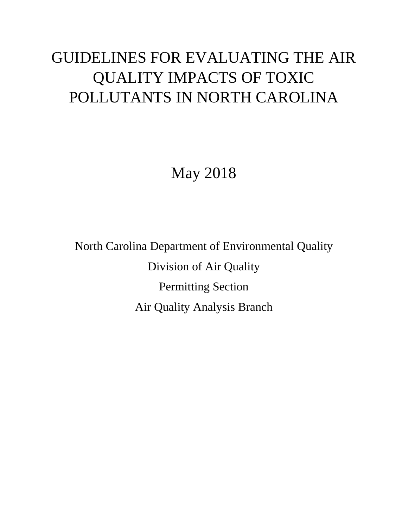# GUIDELINES FOR EVALUATING THE AIR QUALITY IMPACTS OF TOXIC POLLUTANTS IN NORTH CAROLINA

May 2018

North Carolina Department of Environmental Quality Division of Air Quality Permitting Section Air Quality Analysis Branch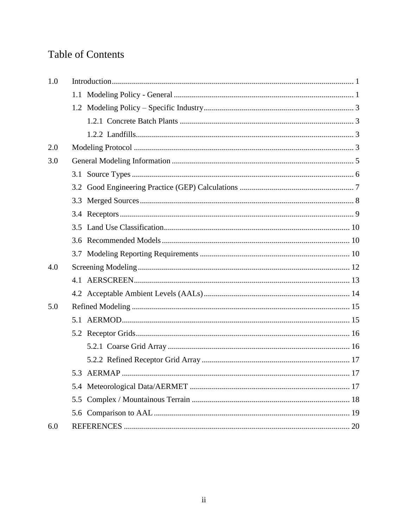## **Table of Contents**

| 1.0 |                  |
|-----|------------------|
|     |                  |
|     |                  |
|     |                  |
|     |                  |
| 2.0 |                  |
| 3.0 |                  |
|     |                  |
|     |                  |
|     |                  |
|     |                  |
|     |                  |
|     |                  |
|     |                  |
| 4.0 |                  |
|     |                  |
|     |                  |
| 5.0 |                  |
|     |                  |
|     |                  |
|     |                  |
|     |                  |
|     | 5.3 AERMAP<br>17 |
|     |                  |
|     |                  |
|     |                  |
| 6.0 |                  |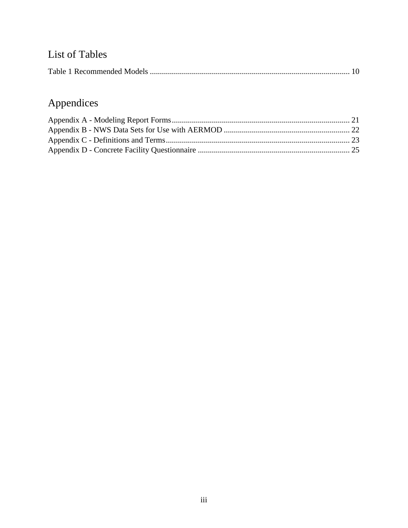# List of Tables

|--|

# Appendices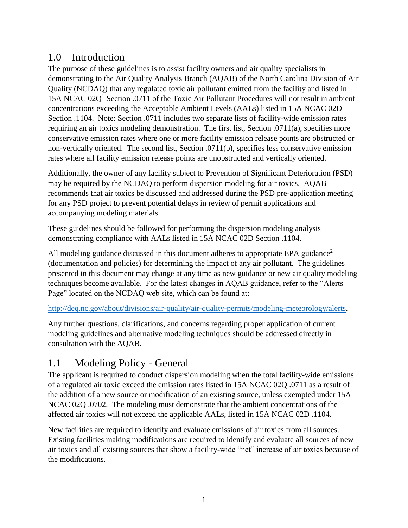#### <span id="page-3-0"></span>1.0 Introduction

The purpose of these guidelines is to assist facility owners and air quality specialists in demonstrating to the Air Quality Analysis Branch (AQAB) of the North Carolina Division of Air Quality (NCDAQ) that any regulated toxic air pollutant emitted from the facility and listed in 15A NCAC  $02Q<sup>1</sup>$  Section .0711 of the Toxic Air Pollutant Procedures will not result in ambient concentrations exceeding the Acceptable Ambient Levels (AALs) listed in 15A NCAC 02D Section .1104. Note: Section .0711 includes two separate lists of facility-wide emission rates requiring an air toxics modeling demonstration. The first list, Section .0711(a), specifies more conservative emission rates where one or more facility emission release points are obstructed or non-vertically oriented. The second list, Section .0711(b), specifies less conservative emission rates where all facility emission release points are unobstructed and vertically oriented.

Additionally, the owner of any facility subject to Prevention of Significant Deterioration (PSD) may be required by the NCDAQ to perform dispersion modeling for air toxics. AQAB recommends that air toxics be discussed and addressed during the PSD pre-application meeting for any PSD project to prevent potential delays in review of permit applications and accompanying modeling materials.

These guidelines should be followed for performing the dispersion modeling analysis demonstrating compliance with AALs listed in 15A NCAC 02D Section .1104.

All modeling guidance discussed in this document adheres to appropriate EPA guidance<sup>2</sup> (documentation and policies) for determining the impact of any air pollutant. The guidelines presented in this document may change at any time as new guidance or new air quality modeling techniques become available. For the latest changes in AQAB guidance, refer to the "Alerts Page" located on the NCDAQ web site, which can be found at:

[http://deq.nc.gov/about/divisions/air-quality/air-quality-permits/modeling-meteorology/alerts.](http://deq.nc.gov/about/divisions/air-quality/air-quality-permits/modeling-meteorology/alerts)

Any further questions, clarifications, and concerns regarding proper application of current modeling guidelines and alternative modeling techniques should be addressed directly in consultation with the AQAB.

#### <span id="page-3-1"></span>1.1 Modeling Policy - General

The applicant is required to conduct dispersion modeling when the total facility-wide emissions of a regulated air toxic exceed the emission rates listed in 15A NCAC 02Q .0711 as a result of the addition of a new source or modification of an existing source, unless exempted under 15A NCAC 02Q .0702. The modeling must demonstrate that the ambient concentrations of the affected air toxics will not exceed the applicable AALs, listed in 15A NCAC 02D .1104.

New facilities are required to identify and evaluate emissions of air toxics from all sources. Existing facilities making modifications are required to identify and evaluate all sources of new air toxics and all existing sources that show a facility-wide "net" increase of air toxics because of the modifications.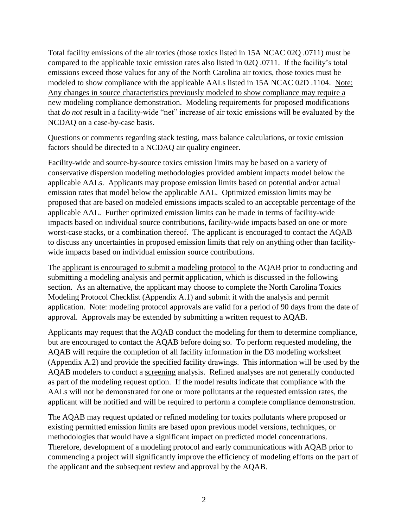Total facility emissions of the air toxics (those toxics listed in 15A NCAC 02Q .0711) must be compared to the applicable toxic emission rates also listed in 02Q .0711. If the facility's total emissions exceed those values for any of the North Carolina air toxics, those toxics must be modeled to show compliance with the applicable AALs listed in 15A NCAC 02D .1104. Note: Any changes in source characteristics previously modeled to show compliance may require a new modeling compliance demonstration. Modeling requirements for proposed modifications that *do not* result in a facility-wide "net" increase of air toxic emissions will be evaluated by the NCDAQ on a case-by-case basis.

Questions or comments regarding stack testing, mass balance calculations, or toxic emission factors should be directed to a NCDAQ air quality engineer.

Facility-wide and source-by-source toxics emission limits may be based on a variety of conservative dispersion modeling methodologies provided ambient impacts model below the applicable AALs. Applicants may propose emission limits based on potential and/or actual emission rates that model below the applicable AAL. Optimized emission limits may be proposed that are based on modeled emissions impacts scaled to an acceptable percentage of the applicable AAL. Further optimized emission limits can be made in terms of facility-wide impacts based on individual source contributions, facility-wide impacts based on one or more worst-case stacks, or a combination thereof. The applicant is encouraged to contact the AQAB to discuss any uncertainties in proposed emission limits that rely on anything other than facilitywide impacts based on individual emission source contributions.

The applicant is encouraged to submit a modeling protocol to the AQAB prior to conducting and submitting a modeling analysis and permit application, which is discussed in the following section. As an alternative, the applicant may choose to complete the North Carolina Toxics Modeling Protocol Checklist (Appendix A.1) and submit it with the analysis and permit application. Note: modeling protocol approvals are valid for a period of 90 days from the date of approval. Approvals may be extended by submitting a written request to AQAB.

Applicants may request that the AQAB conduct the modeling for them to determine compliance, but are encouraged to contact the AQAB before doing so. To perform requested modeling, the AQAB will require the completion of all facility information in the D3 modeling worksheet (Appendix A.2) and provide the specified facility drawings. This information will be used by the AQAB modelers to conduct a screening analysis. Refined analyses are not generally conducted as part of the modeling request option. If the model results indicate that compliance with the AALs will not be demonstrated for one or more pollutants at the requested emission rates, the applicant will be notified and will be required to perform a complete compliance demonstration.

The AQAB may request updated or refined modeling for toxics pollutants where proposed or existing permitted emission limits are based upon previous model versions, techniques, or methodologies that would have a significant impact on predicted model concentrations. Therefore, development of a modeling protocol and early communications with AQAB prior to commencing a project will significantly improve the efficiency of modeling efforts on the part of the applicant and the subsequent review and approval by the AQAB.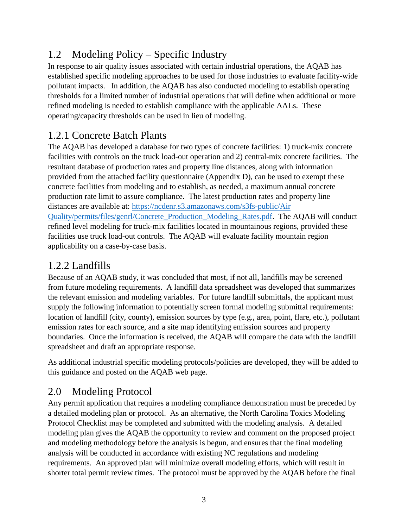## <span id="page-5-0"></span>1.2 Modeling Policy – Specific Industry

In response to air quality issues associated with certain industrial operations, the AQAB has established specific modeling approaches to be used for those industries to evaluate facility-wide pollutant impacts. In addition, the AQAB has also conducted modeling to establish operating thresholds for a limited number of industrial operations that will define when additional or more refined modeling is needed to establish compliance with the applicable AALs. These operating/capacity thresholds can be used in lieu of modeling.

### <span id="page-5-1"></span>1.2.1 Concrete Batch Plants

The AQAB has developed a database for two types of concrete facilities: 1) truck-mix concrete facilities with controls on the truck load-out operation and 2) central-mix concrete facilities. The resultant database of production rates and property line distances, along with information provided from the attached facility questionnaire (Appendix D), can be used to exempt these concrete facilities from modeling and to establish, as needed, a maximum annual concrete production rate limit to assure compliance. The latest production rates and property line distances are available at: [https://ncdenr.s3.amazonaws.com/s3fs-public/Air](https://ncdenr.s3.amazonaws.com/s3fs-public/Air%20Quality/permits/files/genrl/Concrete_Production_Modeling_Rates.pdf)  [Quality/permits/files/genrl/Concrete\\_Production\\_Modeling\\_Rates.pdf.](https://ncdenr.s3.amazonaws.com/s3fs-public/Air%20Quality/permits/files/genrl/Concrete_Production_Modeling_Rates.pdf) The AQAB will conduct refined level modeling for truck-mix facilities located in mountainous regions, provided these facilities use truck load-out controls. The AQAB will evaluate facility mountain region applicability on a case-by-case basis.

#### <span id="page-5-2"></span>1.2.2 Landfills

Because of an AQAB study, it was concluded that most, if not all, landfills may be screened from future modeling requirements. A landfill data spreadsheet was developed that summarizes the relevant emission and modeling variables. For future landfill submittals, the applicant must supply the following information to potentially screen formal modeling submittal requirements: location of landfill (city, county), emission sources by type (e.g., area, point, flare, etc.), pollutant emission rates for each source, and a site map identifying emission sources and property boundaries. Once the information is received, the AQAB will compare the data with the landfill spreadsheet and draft an appropriate response.

As additional industrial specific modeling protocols/policies are developed, they will be added to this guidance and posted on the AQAB web page.

## <span id="page-5-3"></span>2.0 Modeling Protocol

Any permit application that requires a modeling compliance demonstration must be preceded by a detailed modeling plan or protocol. As an alternative, the North Carolina Toxics Modeling Protocol Checklist may be completed and submitted with the modeling analysis. A detailed modeling plan gives the AQAB the opportunity to review and comment on the proposed project and modeling methodology before the analysis is begun, and ensures that the final modeling analysis will be conducted in accordance with existing NC regulations and modeling requirements. An approved plan will minimize overall modeling efforts, which will result in shorter total permit review times. The protocol must be approved by the AQAB before the final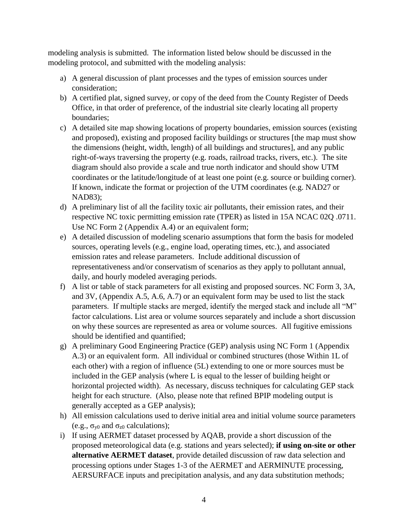modeling analysis is submitted. The information listed below should be discussed in the modeling protocol, and submitted with the modeling analysis:

- a) A general discussion of plant processes and the types of emission sources under consideration;
- b) A certified plat, signed survey, or copy of the deed from the County Register of Deeds Office, in that order of preference, of the industrial site clearly locating all property boundaries;
- c) A detailed site map showing locations of property boundaries, emission sources (existing and proposed), existing and proposed facility buildings or structures [the map must show the dimensions (height, width, length) of all buildings and structures], and any public right-of-ways traversing the property (e.g. roads, railroad tracks, rivers, etc.). The site diagram should also provide a scale and true north indicator and should show UTM coordinates or the latitude/longitude of at least one point (e.g. source or building corner). If known, indicate the format or projection of the UTM coordinates (e.g. NAD27 or NAD83);
- d) A preliminary list of all the facility toxic air pollutants, their emission rates, and their respective NC toxic permitting emission rate (TPER) as listed in 15A NCAC 02Q .0711. Use NC Form 2 (Appendix A.4) or an equivalent form;
- e) A detailed discussion of modeling scenario assumptions that form the basis for modeled sources, operating levels (e.g., engine load, operating times, etc.), and associated emission rates and release parameters. Include additional discussion of representativeness and/or conservatism of scenarios as they apply to pollutant annual, daily, and hourly modeled averaging periods.
- f) A list or table of stack parameters for all existing and proposed sources. NC Form 3, 3A, and 3V, (Appendix A.5, A.6, A.7) or an equivalent form may be used to list the stack parameters. If multiple stacks are merged, identify the merged stack and include all "M" factor calculations. List area or volume sources separately and include a short discussion on why these sources are represented as area or volume sources. All fugitive emissions should be identified and quantified;
- g) A preliminary Good Engineering Practice (GEP) analysis using NC Form 1 (Appendix A.3) or an equivalent form. All individual or combined structures (those Within 1L of each other) with a region of influence (5L) extending to one or more sources must be included in the GEP analysis (where L is equal to the lesser of building height or horizontal projected width). As necessary, discuss techniques for calculating GEP stack height for each structure. (Also, please note that refined BPIP modeling output is generally accepted as a GEP analysis);
- h) All emission calculations used to derive initial area and initial volume source parameters (e.g.,  $\sigma_{v0}$  and  $\sigma_{z0}$  calculations);
- i) If using AERMET dataset processed by AQAB, provide a short discussion of the proposed meteorological data (e.g. stations and years selected); **if using on-site or other alternative AERMET dataset**, provide detailed discussion of raw data selection and processing options under Stages 1-3 of the AERMET and AERMINUTE processing, AERSURFACE inputs and precipitation analysis, and any data substitution methods;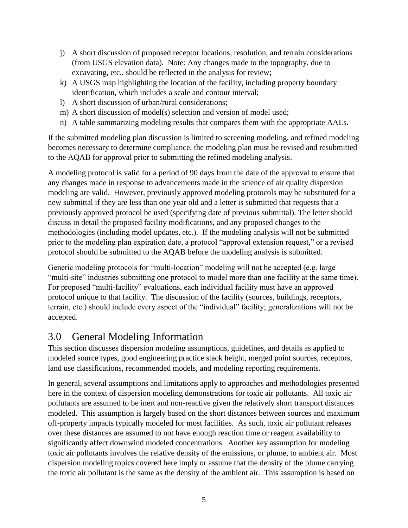- j) A short discussion of proposed receptor locations, resolution, and terrain considerations (from USGS elevation data). Note: Any changes made to the topography, due to excavating, etc., should be reflected in the analysis for review;
- k) A USGS map highlighting the location of the facility, including property boundary identification, which includes a scale and contour interval;
- l) A short discussion of urban/rural considerations;
- m) A short discussion of model(s) selection and version of model used;
- n) A table summarizing modeling results that compares them with the appropriate AALs.

If the submitted modeling plan discussion is limited to screening modeling, and refined modeling becomes necessary to determine compliance, the modeling plan must be revised and resubmitted to the AQAB for approval prior to submitting the refined modeling analysis.

A modeling protocol is valid for a period of 90 days from the date of the approval to ensure that any changes made in response to advancements made in the science of air quality dispersion modeling are valid. However, previously approved modeling protocols may be substituted for a new submittal if they are less than one year old and a letter is submitted that requests that a previously approved protocol be used (specifying date of previous submittal). The letter should discuss in detail the proposed facility modifications, and any proposed changes to the methodologies (including model updates, etc.). If the modeling analysis will not be submitted prior to the modeling plan expiration date, a protocol "approval extension request," or a revised protocol should be submitted to the AQAB before the modeling analysis is submitted.

Generic modeling protocols for "multi-location" modeling will not be accepted (e.g. large "multi-site" industries submitting one protocol to model more than one facility at the same time). For proposed "multi-facility" evaluations, each individual facility must have an approved protocol unique to that facility. The discussion of the facility (sources, buildings, receptors, terrain, etc.) should include every aspect of the "individual" facility; generalizations will not be accepted.

#### <span id="page-7-0"></span>3.0 General Modeling Information

This section discusses dispersion modeling assumptions, guidelines, and details as applied to modeled source types, good engineering practice stack height, merged point sources, receptors, land use classifications, recommended models, and modeling reporting requirements.

In general, several assumptions and limitations apply to approaches and methodologies presented here in the context of dispersion modeling demonstrations for toxic air pollutants. All toxic air pollutants are assumed to be inert and non-reactive given the relatively short transport distances modeled. This assumption is largely based on the short distances between sources and maximum off-property impacts typically modeled for most facilities. As such, toxic air pollutant releases over these distances are assumed to not have enough reaction time or reagent availability to significantly affect downwind modeled concentrations. Another key assumption for modeling toxic air pollutants involves the relative density of the emissions, or plume, to ambient air. Most dispersion modeling topics covered here imply or assume that the density of the plume carrying the toxic air pollutant is the same as the density of the ambient air. This assumption is based on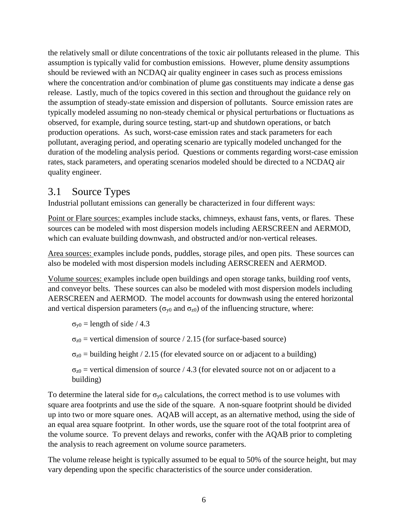the relatively small or dilute concentrations of the toxic air pollutants released in the plume. This assumption is typically valid for combustion emissions. However, plume density assumptions should be reviewed with an NCDAQ air quality engineer in cases such as process emissions where the concentration and/or combination of plume gas constituents may indicate a dense gas release. Lastly, much of the topics covered in this section and throughout the guidance rely on the assumption of steady-state emission and dispersion of pollutants. Source emission rates are typically modeled assuming no non-steady chemical or physical perturbations or fluctuations as observed, for example, during source testing, start-up and shutdown operations, or batch production operations. As such, worst-case emission rates and stack parameters for each pollutant, averaging period, and operating scenario are typically modeled unchanged for the duration of the modeling analysis period. Questions or comments regarding worst-case emission rates, stack parameters, and operating scenarios modeled should be directed to a NCDAQ air quality engineer.

#### <span id="page-8-0"></span>3.1 Source Types

Industrial pollutant emissions can generally be characterized in four different ways:

Point or Flare sources: examples include stacks, chimneys, exhaust fans, vents, or flares. These sources can be modeled with most dispersion models including AERSCREEN and AERMOD, which can evaluate building downwash, and obstructed and/or non-vertical releases.

Area sources: examples include ponds, puddles, storage piles, and open pits. These sources can also be modeled with most dispersion models including AERSCREEN and AERMOD.

Volume sources: examples include open buildings and open storage tanks, building roof vents, and conveyor belts. These sources can also be modeled with most dispersion models including AERSCREEN and AERMOD. The model accounts for downwash using the entered horizontal and vertical dispersion parameters ( $\sigma_{v0}$  and  $\sigma_{z0}$ ) of the influencing structure, where:

 $\sigma_{y0}$  = length of side / 4.3

 $\sigma_{z0}$  = vertical dimension of source / 2.15 (for surface-based source)

 $\sigma_{z0}$  = building height / 2.15 (for elevated source on or adjacent to a building)

 $\sigma_{z0}$  = vertical dimension of source / 4.3 (for elevated source not on or adjacent to a building)

To determine the lateral side for  $\sigma_{v0}$  calculations, the correct method is to use volumes with square area footprints and use the side of the square. A non-square footprint should be divided up into two or more square ones. AQAB will accept, as an alternative method, using the side of an equal area square footprint. In other words, use the square root of the total footprint area of the volume source. To prevent delays and reworks, confer with the AQAB prior to completing the analysis to reach agreement on volume source parameters.

The volume release height is typically assumed to be equal to 50% of the source height, but may vary depending upon the specific characteristics of the source under consideration.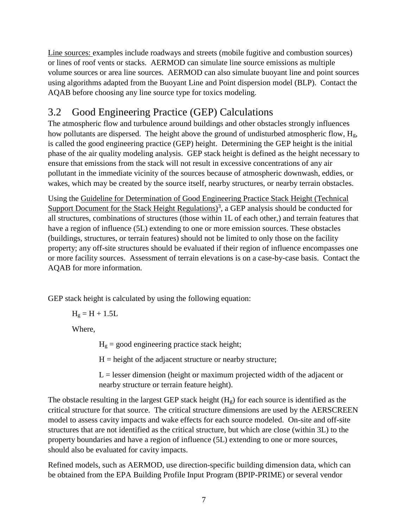Line sources: examples include roadways and streets (mobile fugitive and combustion sources) or lines of roof vents or stacks. AERMOD can simulate line source emissions as multiple volume sources or area line sources. AERMOD can also simulate buoyant line and point sources using algorithms adapted from the Buoyant Line and Point dispersion model (BLP). Contact the AQAB before choosing any line source type for toxics modeling.

## <span id="page-9-0"></span>3.2 Good Engineering Practice (GEP) Calculations

The atmospheric flow and turbulence around buildings and other obstacles strongly influences how pollutants are dispersed. The height above the ground of undisturbed atmospheric flow, H<sub>g</sub>, is called the good engineering practice (GEP) height. Determining the GEP height is the initial phase of the air quality modeling analysis. GEP stack height is defined as the height necessary to ensure that emissions from the stack will not result in excessive concentrations of any air pollutant in the immediate vicinity of the sources because of atmospheric downwash, eddies, or wakes, which may be created by the source itself, nearby structures, or nearby terrain obstacles.

Using the Guideline for Determination of Good Engineering Practice Stack Height (Technical Support Document for the Stack Height Regulations)<sup>3</sup>, a GEP analysis should be conducted for all structures, combinations of structures (those within 1L of each other,) and terrain features that have a region of influence (5L) extending to one or more emission sources. These obstacles (buildings, structures, or terrain features) should not be limited to only those on the facility property; any off-site structures should be evaluated if their region of influence encompasses one or more facility sources. Assessment of terrain elevations is on a case-by-case basis. Contact the AQAB for more information.

GEP stack height is calculated by using the following equation:

 $H_g = H + 1.5L$ 

Where,

 $H<sub>g</sub>$  = good engineering practice stack height;

 $H =$  height of the adjacent structure or nearby structure;

 $L =$  lesser dimension (height or maximum projected width of the adjacent or nearby structure or terrain feature height).

The obstacle resulting in the largest GEP stack height  $(H<sub>g</sub>)$  for each source is identified as the critical structure for that source. The critical structure dimensions are used by the AERSCREEN model to assess cavity impacts and wake effects for each source modeled. On-site and off-site structures that are not identified as the critical structure, but which are close (within 3L) to the property boundaries and have a region of influence (5L) extending to one or more sources, should also be evaluated for cavity impacts.

Refined models, such as AERMOD, use direction-specific building dimension data, which can be obtained from the EPA Building Profile Input Program (BPIP-PRIME) or several vendor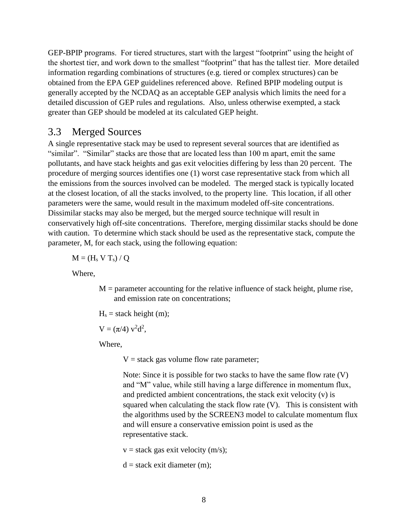GEP-BPIP programs. For tiered structures, start with the largest "footprint" using the height of the shortest tier, and work down to the smallest "footprint" that has the tallest tier. More detailed information regarding combinations of structures (e.g. tiered or complex structures) can be obtained from the EPA GEP guidelines referenced above. Refined BPIP modeling output is generally accepted by the NCDAQ as an acceptable GEP analysis which limits the need for a detailed discussion of GEP rules and regulations. Also, unless otherwise exempted, a stack greater than GEP should be modeled at its calculated GEP height.

#### <span id="page-10-0"></span>3.3 Merged Sources

A single representative stack may be used to represent several sources that are identified as "similar". "Similar" stacks are those that are located less than 100 m apart, emit the same pollutants, and have stack heights and gas exit velocities differing by less than 20 percent. The procedure of merging sources identifies one (1) worst case representative stack from which all the emissions from the sources involved can be modeled. The merged stack is typically located at the closest location, of all the stacks involved, to the property line. This location, if all other parameters were the same, would result in the maximum modeled off-site concentrations. Dissimilar stacks may also be merged, but the merged source technique will result in conservatively high off-site concentrations. Therefore, merging dissimilar stacks should be done with caution. To determine which stack should be used as the representative stack, compute the parameter, M, for each stack, using the following equation:

 $M = (H_s V T_s) / Q$ 

Where,

 $M =$  parameter accounting for the relative influence of stack height, plume rise, and emission rate on concentrations;

 $H<sub>s</sub>$  = stack height (m);

 $V = (\pi/4) v^2 d^2$ ,

Where,

 $V =$  stack gas volume flow rate parameter;

Note: Since it is possible for two stacks to have the same flow rate (V) and "M" value, while still having a large difference in momentum flux, and predicted ambient concentrations, the stack exit velocity (v) is squared when calculating the stack flow rate (V). This is consistent with the algorithms used by the SCREEN3 model to calculate momentum flux and will ensure a conservative emission point is used as the representative stack.

 $v =$  stack gas exit velocity (m/s);

 $d =$  stack exit diameter (m):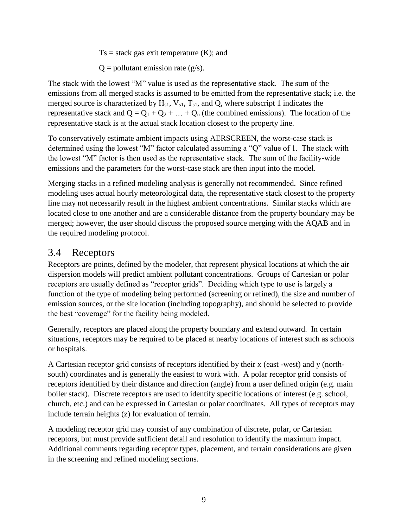$Ts = stack$  gas exit temperature  $(K)$ ; and

 $Q =$  pollutant emission rate (g/s).

The stack with the lowest "M" value is used as the representative stack. The sum of the emissions from all merged stacks is assumed to be emitted from the representative stack; i.e. the merged source is characterized by  $H_{s1}$ ,  $V_{s1}$ ,  $T_{s1}$ , and Q, where subscript 1 indicates the representative stack and  $Q = Q_1 + Q_2 + ... + Q_n$  (the combined emissions). The location of the representative stack is at the actual stack location closest to the property line.

To conservatively estimate ambient impacts using AERSCREEN, the worst-case stack is determined using the lowest "M" factor calculated assuming a "Q" value of 1. The stack with the lowest "M" factor is then used as the representative stack. The sum of the facility-wide emissions and the parameters for the worst-case stack are then input into the model.

Merging stacks in a refined modeling analysis is generally not recommended. Since refined modeling uses actual hourly meteorological data, the representative stack closest to the property line may not necessarily result in the highest ambient concentrations. Similar stacks which are located close to one another and are a considerable distance from the property boundary may be merged; however, the user should discuss the proposed source merging with the AQAB and in the required modeling protocol.

#### <span id="page-11-0"></span>3.4 Receptors

Receptors are points, defined by the modeler, that represent physical locations at which the air dispersion models will predict ambient pollutant concentrations. Groups of Cartesian or polar receptors are usually defined as "receptor grids". Deciding which type to use is largely a function of the type of modeling being performed (screening or refined), the size and number of emission sources, or the site location (including topography), and should be selected to provide the best "coverage" for the facility being modeled.

Generally, receptors are placed along the property boundary and extend outward. In certain situations, receptors may be required to be placed at nearby locations of interest such as schools or hospitals.

A Cartesian receptor grid consists of receptors identified by their x (east -west) and y (northsouth) coordinates and is generally the easiest to work with. A polar receptor grid consists of receptors identified by their distance and direction (angle) from a user defined origin (e.g. main boiler stack). Discrete receptors are used to identify specific locations of interest (e.g. school, church, etc.) and can be expressed in Cartesian or polar coordinates. All types of receptors may include terrain heights (z) for evaluation of terrain.

A modeling receptor grid may consist of any combination of discrete, polar, or Cartesian receptors, but must provide sufficient detail and resolution to identify the maximum impact. Additional comments regarding receptor types, placement, and terrain considerations are given in the screening and refined modeling sections.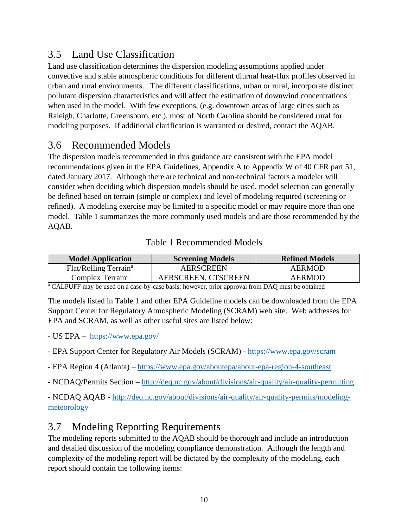#### <span id="page-12-0"></span>3.5 Land Use Classification

Land use classification determines the dispersion modeling assumptions applied under convective and stable atmospheric conditions for different diurnal heat-flux profiles observed in urban and rural environments. The different classifications, urban or rural, incorporate distinct pollutant dispersion characteristics and will affect the estimation of downwind concentrations when used in the model. With few exceptions, (e.g. downtown areas of large cities such as Raleigh, Charlotte, Greensboro, etc.), most of North Carolina should be considered rural for modeling purposes. If additional clarification is warranted or desired, contact the AQAB.

#### <span id="page-12-1"></span>3.6 Recommended Models

The dispersion models recommended in this guidance are consistent with the EPA model recommendations given in the EPA Guidelines, Appendix A to Appendix W of 40 CFR part 51, dated January 2017. Although there are technical and non-technical factors a modeler will consider when deciding which dispersion models should be used, model selection can generally be defined based on terrain (simple or complex) and level of modeling required (screening or refined). A modeling exercise may be limited to a specific model or may require more than one model. Table 1 summarizes the more commonly used models and are those recommended by the AQAB.

#### Table 1 Recommended Models

<span id="page-12-3"></span>

| <b>Model Application</b>          | <b>Screening Models</b> | <b>Refined Models</b> |
|-----------------------------------|-------------------------|-----------------------|
| Flat/Rolling Terrain <sup>a</sup> | AERSCREEN               | AERMOD                |
| Complex Terrain <sup>a</sup>      | AERSCREEN, CTSCREEN     | AERMOD                |

<sup>a</sup> CALPUFF may be used on a case-by-case basis; however, prior approval from DAQ must be obtained

The models listed in Table 1 and other EPA Guideline models can be downloaded from the EPA Support Center for Regulatory Atmospheric Modeling (SCRAM) web site. Web addresses for EPA and SCRAM, as well as other useful sites are listed below:

- US EPA <https://www.epa.gov/>
- EPA Support Center for Regulatory Air Models (SCRAM) <https://www.epa.gov/scram>
- EPA Region 4 (Atlanta) <https://www.epa.gov/aboutepa/about-epa-region-4-southeast>
- NCDAQ/Permits Section <http://deq.nc.gov/about/divisions/air-quality/air-quality-permitting>

- NCDAQ AQAB - [http://deq.nc.gov/about/divisions/air-quality/air-quality-permits/modeling](http://deq.nc.gov/about/divisions/air-quality/air-quality-permits/modeling-meteorology)[meteorology](http://deq.nc.gov/about/divisions/air-quality/air-quality-permits/modeling-meteorology)

#### <span id="page-12-2"></span>3.7 Modeling Reporting Requirements

The modeling reports submitted to the AQAB should be thorough and include an introduction and detailed discussion of the modeling compliance demonstration. Although the length and complexity of the modeling report will be dictated by the complexity of the modeling, each report should contain the following items: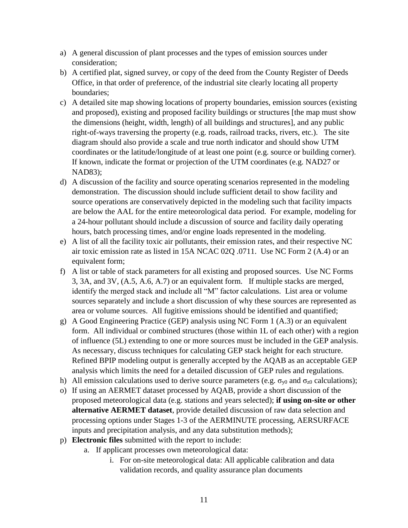- a) A general discussion of plant processes and the types of emission sources under consideration;
- b) A certified plat, signed survey, or copy of the deed from the County Register of Deeds Office, in that order of preference, of the industrial site clearly locating all property boundaries;
- c) A detailed site map showing locations of property boundaries, emission sources (existing and proposed), existing and proposed facility buildings or structures [the map must show the dimensions (height, width, length) of all buildings and structures], and any public right-of-ways traversing the property (e.g. roads, railroad tracks, rivers, etc.). The site diagram should also provide a scale and true north indicator and should show UTM coordinates or the latitude/longitude of at least one point (e.g. source or building corner). If known, indicate the format or projection of the UTM coordinates (e.g. NAD27 or NAD83);
- d) A discussion of the facility and source operating scenarios represented in the modeling demonstration. The discussion should include sufficient detail to show facility and source operations are conservatively depicted in the modeling such that facility impacts are below the AAL for the entire meteorological data period. For example, modeling for a 24-hour pollutant should include a discussion of source and facility daily operating hours, batch processing times, and/or engine loads represented in the modeling.
- e) A list of all the facility toxic air pollutants, their emission rates, and their respective NC air toxic emission rate as listed in 15A NCAC 02Q .0711. Use NC Form 2 (A.4) or an equivalent form:
- f) A list or table of stack parameters for all existing and proposed sources. Use NC Forms 3, 3A, and 3V, (A.5, A.6, A.7) or an equivalent form. If multiple stacks are merged, identify the merged stack and include all "M" factor calculations. List area or volume sources separately and include a short discussion of why these sources are represented as area or volume sources. All fugitive emissions should be identified and quantified;
- g) A Good Engineering Practice (GEP) analysis using NC Form 1 (A.3) or an equivalent form. All individual or combined structures (those within 1L of each other) with a region of influence (5L) extending to one or more sources must be included in the GEP analysis. As necessary, discuss techniques for calculating GEP stack height for each structure. Refined BPIP modeling output is generally accepted by the AQAB as an acceptable GEP analysis which limits the need for a detailed discussion of GEP rules and regulations.
- h) All emission calculations used to derive source parameters (e.g.  $\sigma_{\nu 0}$  and  $\sigma_{\nu 0}$  calculations);
- o) If using an AERMET dataset processed by AQAB, provide a short discussion of the proposed meteorological data (e.g. stations and years selected); **if using on-site or other alternative AERMET dataset**, provide detailed discussion of raw data selection and processing options under Stages 1-3 of the AERMINUTE processing, AERSURFACE inputs and precipitation analysis, and any data substitution methods);
- p) **Electronic files** submitted with the report to include:
	- a. If applicant processes own meteorological data:
		- i. For on-site meteorological data: All applicable calibration and data validation records, and quality assurance plan documents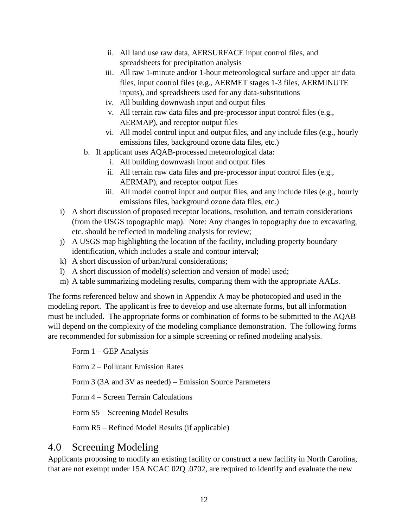- ii. All land use raw data, AERSURFACE input control files, and spreadsheets for precipitation analysis
- iii. All raw 1-minute and/or 1-hour meteorological surface and upper air data files, input control files (e.g., AERMET stages 1-3 files, AERMINUTE inputs), and spreadsheets used for any data-substitutions
- iv. All building downwash input and output files
- v. All terrain raw data files and pre-processor input control files (e.g., AERMAP), and receptor output files
- vi. All model control input and output files, and any include files (e.g., hourly emissions files, background ozone data files, etc.)
- b. If applicant uses AQAB-processed meteorological data:
	- i. All building downwash input and output files
	- ii. All terrain raw data files and pre-processor input control files (e.g., AERMAP), and receptor output files
	- iii. All model control input and output files, and any include files (e.g., hourly emissions files, background ozone data files, etc.)
- i) A short discussion of proposed receptor locations, resolution, and terrain considerations (from the USGS topographic map). Note: Any changes in topography due to excavating, etc. should be reflected in modeling analysis for review;
- j) A USGS map highlighting the location of the facility, including property boundary identification, which includes a scale and contour interval;
- k) A short discussion of urban/rural considerations;
- l) A short discussion of model(s) selection and version of model used;
- m) A table summarizing modeling results, comparing them with the appropriate AALs.

The forms referenced below and shown in Appendix A may be photocopied and used in the modeling report. The applicant is free to develop and use alternate forms, but all information must be included. The appropriate forms or combination of forms to be submitted to the AQAB will depend on the complexity of the modeling compliance demonstration. The following forms are recommended for submission for a simple screening or refined modeling analysis.

Form 1 – GEP Analysis

Form 2 – Pollutant Emission Rates

Form 3 (3A and 3V as needed) – Emission Source Parameters

Form 4 – Screen Terrain Calculations

Form S5 – Screening Model Results

Form R5 – Refined Model Results (if applicable)

#### <span id="page-14-0"></span>4.0 Screening Modeling

Applicants proposing to modify an existing facility or construct a new facility in North Carolina, that are not exempt under 15A NCAC 02Q .0702, are required to identify and evaluate the new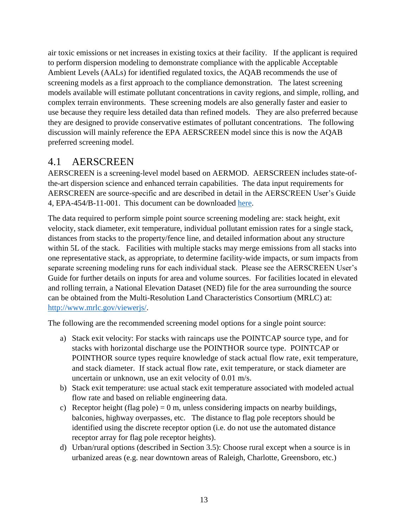air toxic emissions or net increases in existing toxics at their facility. If the applicant is required to perform dispersion modeling to demonstrate compliance with the applicable Acceptable Ambient Levels (AALs) for identified regulated toxics, the AQAB recommends the use of screening models as a first approach to the compliance demonstration. The latest screening models available will estimate pollutant concentrations in cavity regions, and simple, rolling, and complex terrain environments. These screening models are also generally faster and easier to use because they require less detailed data than refined models. They are also preferred because they are designed to provide conservative estimates of pollutant concentrations. The following discussion will mainly reference the EPA AERSCREEN model since this is now the AQAB preferred screening model.

#### <span id="page-15-0"></span>4.1 AERSCREEN

AERSCREEN is a screening-level model based on AERMOD. AERSCREEN includes state-ofthe-art dispersion science and enhanced terrain capabilities. The data input requirements for AERSCREEN are source-specific and are described in detail in the AERSCREEN User's Guide 4, EPA-454/B-11-001. This document can be downloaded [here.](https://www3.epa.gov/scram001/models/screen/aerscreen_userguide.pdf)

The data required to perform simple point source screening modeling are: stack height, exit velocity, stack diameter, exit temperature, individual pollutant emission rates for a single stack, distances from stacks to the property/fence line, and detailed information about any structure within 5L of the stack. Facilities with multiple stacks may merge emissions from all stacks into one representative stack, as appropriate, to determine facility-wide impacts, or sum impacts from separate screening modeling runs for each individual stack. Please see the AERSCREEN User's Guide for further details on inputs for area and volume sources. For facilities located in elevated and rolling terrain, a National Elevation Dataset (NED) file for the area surrounding the source can be obtained from the Multi-Resolution Land Characteristics Consortium (MRLC) at: [http://www.mrlc.gov/viewerjs/.](http://www.mrlc.gov/viewerjs/)

The following are the recommended screening model options for a single point source:

- a) Stack exit velocity: For stacks with raincaps use the POINTCAP source type, and for stacks with horizontal discharge use the POINTHOR source type. POINTCAP or POINTHOR source types require knowledge of stack actual flow rate, exit temperature, and stack diameter. If stack actual flow rate, exit temperature, or stack diameter are uncertain or unknown, use an exit velocity of 0.01 m/s.
- b) Stack exit temperature: use actual stack exit temperature associated with modeled actual flow rate and based on reliable engineering data.
- c) Receptor height (flag pole) = 0 m, unless considering impacts on nearby buildings, balconies, highway overpasses, etc. The distance to flag pole receptors should be identified using the discrete receptor option (i.e. do not use the automated distance receptor array for flag pole receptor heights).
- d) Urban/rural options (described in Section 3.5): Choose rural except when a source is in urbanized areas (e.g. near downtown areas of Raleigh, Charlotte, Greensboro, etc.)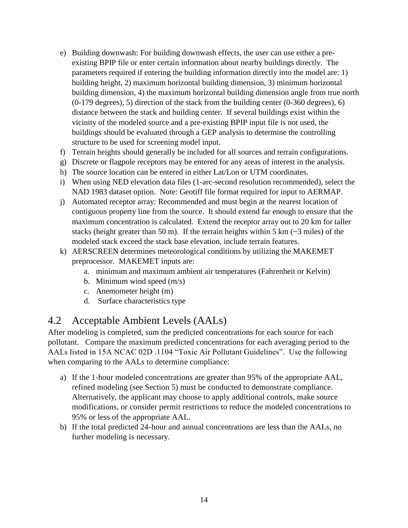- e) Building downwash: For building downwash effects, the user can use either a preexisting BPIP file or enter certain information about nearby buildings directly. The parameters required if entering the building information directly into the model are: 1) building height, 2) maximum horizontal building dimension, 3) minimum horizontal building dimension, 4) the maximum horizontal building dimension angle from true north (0-179 degrees), 5) direction of the stack from the building center (0-360 degrees), 6) distance between the stack and building center. If several buildings exist within the vicinity of the modeled source and a pre-existing BPIP input file is not used, the buildings should be evaluated through a GEP analysis to determine the controlling structure to be used for screening model input.
- f) Terrain heights should generally be included for all sources and terrain configurations.
- g) Discrete or flagpole receptors may be entered for any areas of interest in the analysis.
- h) The source location can be entered in either Lat/Lon or UTM coordinates.
- i) When using NED elevation data files (1-arc-second resolution recommended), select the NAD 1983 dataset option. Note: Geotiff file format required for input to AERMAP.
- j) Automated receptor array: Recommended and must begin at the nearest location of contiguous property line from the source. It should extend far enough to ensure that the maximum concentration is calculated. Extend the receptor array out to 20 km for taller stacks (height greater than 50 m). If the terrain heights within 5 km  $\left(\sim$ 3 miles) of the modeled stack exceed the stack base elevation, include terrain features.
- k) AERSCREEN determines meteorological conditions by utilizing the MAKEMET preprocessor. MAKEMET inputs are:
	- a. minimum and maximum ambient air temperatures (Fahrenheit or Kelvin)
	- b. Minimum wind speed (m/s)
	- c. Anemometer height (m)
	- d. Surface characteristics type

#### <span id="page-16-0"></span>4.2 Acceptable Ambient Levels (AALs)

After modeling is completed, sum the predicted concentrations for each source for each pollutant. Compare the maximum predicted concentrations for each averaging period to the AALs listed in 15A NCAC 02D .1104 "Toxic Air Pollutant Guidelines". Use the following when comparing to the AALs to determine compliance:

- a) If the 1-hour modeled concentrations are greater than 95% of the appropriate AAL, refined modeling (see Section 5) must be conducted to demonstrate compliance. Alternatively, the applicant may choose to apply additional controls, make source modifications, or consider permit restrictions to reduce the modeled concentrations to 95% or less of the appropriate AAL.
- b) If the total predicted 24-hour and annual concentrations are less than the AALs, no further modeling is necessary.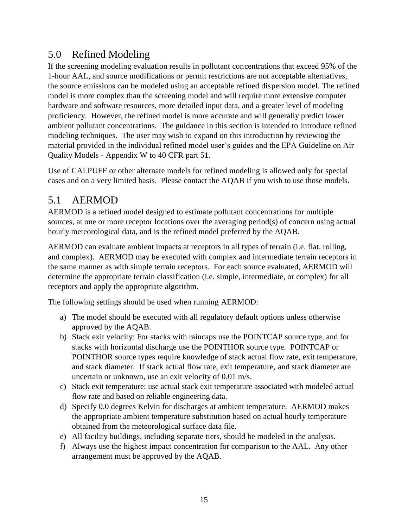#### <span id="page-17-0"></span>5.0 Refined Modeling

If the screening modeling evaluation results in pollutant concentrations that exceed 95% of the 1-hour AAL, and source modifications or permit restrictions are not acceptable alternatives, the source emissions can be modeled using an acceptable refined dispersion model. The refined model is more complex than the screening model and will require more extensive computer hardware and software resources, more detailed input data, and a greater level of modeling proficiency. However, the refined model is more accurate and will generally predict lower ambient pollutant concentrations. The guidance in this section is intended to introduce refined modeling techniques. The user may wish to expand on this introduction by reviewing the material provided in the individual refined model user's guides and the EPA Guideline on Air Quality Models - Appendix W to 40 CFR part 51.

Use of CALPUFF or other alternate models for refined modeling is allowed only for special cases and on a very limited basis. Please contact the AQAB if you wish to use those models.

#### <span id="page-17-1"></span>5.1 AERMOD

AERMOD is a refined model designed to estimate pollutant concentrations for multiple sources, at one or more receptor locations over the averaging period(s) of concern using actual hourly meteorological data, and is the refined model preferred by the AQAB.

AERMOD can evaluate ambient impacts at receptors in all types of terrain (i.e. flat, rolling, and complex). AERMOD may be executed with complex and intermediate terrain receptors in the same manner as with simple terrain receptors. For each source evaluated, AERMOD will determine the appropriate terrain classification (i.e. simple, intermediate, or complex) for all receptors and apply the appropriate algorithm.

The following settings should be used when running AERMOD:

- a) The model should be executed with all regulatory default options unless otherwise approved by the AQAB.
- b) Stack exit velocity: For stacks with raincaps use the POINTCAP source type, and for stacks with horizontal discharge use the POINTHOR source type. POINTCAP or POINTHOR source types require knowledge of stack actual flow rate, exit temperature, and stack diameter. If stack actual flow rate, exit temperature, and stack diameter are uncertain or unknown, use an exit velocity of 0.01 m/s.
- c) Stack exit temperature: use actual stack exit temperature associated with modeled actual flow rate and based on reliable engineering data.
- d) Specify 0.0 degrees Kelvin for discharges at ambient temperature. AERMOD makes the appropriate ambient temperature substitution based on actual hourly temperature obtained from the meteorological surface data file.
- e) All facility buildings, including separate tiers, should be modeled in the analysis.
- f) Always use the highest impact concentration for comparison to the AAL. Any other arrangement must be approved by the AQAB.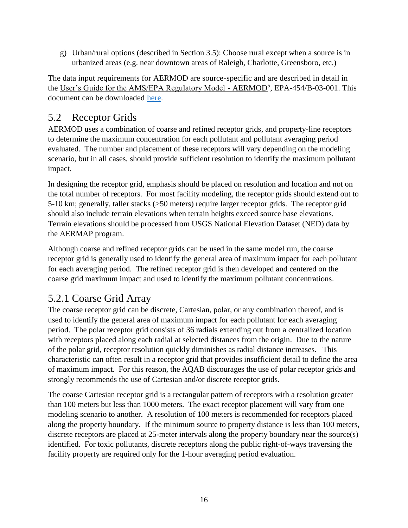g) Urban/rural options (described in Section 3.5): Choose rural except when a source is in urbanized areas (e.g. near downtown areas of Raleigh, Charlotte, Greensboro, etc.)

The data input requirements for AERMOD are source-specific and are described in detail in the User's Guide for the AMS/EPA Regulatory Model - AERMOD<sup>5</sup>, EPA-454/B-03-001. This document can be downloaded [here.](https://www3.epa.gov/ttn/scram/models/aermod/aermod_userguide.pdf)

#### <span id="page-18-0"></span>5.2 Receptor Grids

AERMOD uses a combination of coarse and refined receptor grids, and property-line receptors to determine the maximum concentration for each pollutant and pollutant averaging period evaluated. The number and placement of these receptors will vary depending on the modeling scenario, but in all cases, should provide sufficient resolution to identify the maximum pollutant impact.

In designing the receptor grid, emphasis should be placed on resolution and location and not on the total number of receptors. For most facility modeling, the receptor grids should extend out to 5-10 km; generally, taller stacks (>50 meters) require larger receptor grids. The receptor grid should also include terrain elevations when terrain heights exceed source base elevations. Terrain elevations should be processed from USGS National Elevation Dataset (NED) data by the AERMAP program.

Although coarse and refined receptor grids can be used in the same model run, the coarse receptor grid is generally used to identify the general area of maximum impact for each pollutant for each averaging period. The refined receptor grid is then developed and centered on the coarse grid maximum impact and used to identify the maximum pollutant concentrations.

#### <span id="page-18-1"></span>5.2.1 Coarse Grid Array

The coarse receptor grid can be discrete, Cartesian, polar, or any combination thereof, and is used to identify the general area of maximum impact for each pollutant for each averaging period. The polar receptor grid consists of 36 radials extending out from a centralized location with receptors placed along each radial at selected distances from the origin. Due to the nature of the polar grid, receptor resolution quickly diminishes as radial distance increases. This characteristic can often result in a receptor grid that provides insufficient detail to define the area of maximum impact. For this reason, the AQAB discourages the use of polar receptor grids and strongly recommends the use of Cartesian and/or discrete receptor grids.

The coarse Cartesian receptor grid is a rectangular pattern of receptors with a resolution greater than 100 meters but less than 1000 meters. The exact receptor placement will vary from one modeling scenario to another. A resolution of 100 meters is recommended for receptors placed along the property boundary. If the minimum source to property distance is less than 100 meters, discrete receptors are placed at 25-meter intervals along the property boundary near the source(s) identified. For toxic pollutants, discrete receptors along the public right-of-ways traversing the facility property are required only for the 1-hour averaging period evaluation.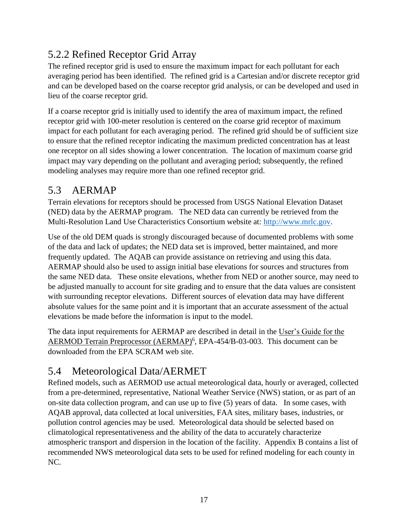## <span id="page-19-0"></span>5.2.2 Refined Receptor Grid Array

The refined receptor grid is used to ensure the maximum impact for each pollutant for each averaging period has been identified. The refined grid is a Cartesian and/or discrete receptor grid and can be developed based on the coarse receptor grid analysis, or can be developed and used in lieu of the coarse receptor grid.

If a coarse receptor grid is initially used to identify the area of maximum impact, the refined receptor grid with 100-meter resolution is centered on the coarse grid receptor of maximum impact for each pollutant for each averaging period. The refined grid should be of sufficient size to ensure that the refined receptor indicating the maximum predicted concentration has at least one receptor on all sides showing a lower concentration. The location of maximum coarse grid impact may vary depending on the pollutant and averaging period; subsequently, the refined modeling analyses may require more than one refined receptor grid.

#### <span id="page-19-1"></span>5.3 AERMAP

Terrain elevations for receptors should be processed from USGS National Elevation Dataset (NED) data by the AERMAP program. The NED data can currently be retrieved from the Multi-Resolution Land Use Characteristics Consortium website at: [http://www.mrlc.gov.](http://www.mrlc.gov/)

Use of the old DEM quads is strongly discouraged because of documented problems with some of the data and lack of updates; the NED data set is improved, better maintained, and more frequently updated. The AQAB can provide assistance on retrieving and using this data. AERMAP should also be used to assign initial base elevations for sources and structures from the same NED data. These onsite elevations, whether from NED or another source, may need to be adjusted manually to account for site grading and to ensure that the data values are consistent with surrounding receptor elevations. Different sources of elevation data may have different absolute values for the same point and it is important that an accurate assessment of the actual elevations be made before the information is input to the model.

The data input requirements for AERMAP are described in detail in the User's Guide for the AERMOD Terrain Preprocessor (AERMAP)<sup>6</sup>, EPA-454/B-03-003. This document can be downloaded from the EPA SCRAM web site.

### <span id="page-19-2"></span>5.4 Meteorological Data/AERMET

Refined models, such as AERMOD use actual meteorological data, hourly or averaged, collected from a pre-determined, representative, National Weather Service (NWS) station, or as part of an on-site data collection program, and can use up to five (5) years of data. In some cases, with AQAB approval, data collected at local universities, FAA sites, military bases, industries, or pollution control agencies may be used. Meteorological data should be selected based on climatological representativeness and the ability of the data to accurately characterize atmospheric transport and dispersion in the location of the facility. Appendix B contains a list of recommended NWS meteorological data sets to be used for refined modeling for each county in NC.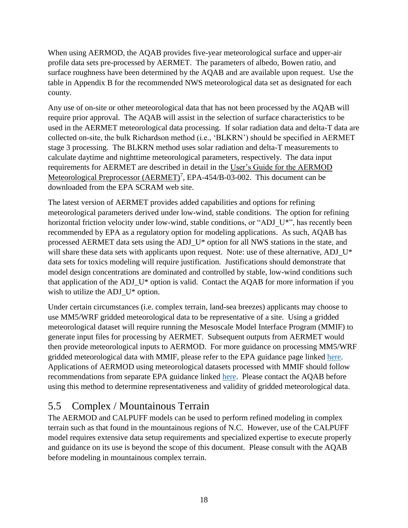When using AERMOD, the AQAB provides five-year meteorological surface and upper-air profile data sets pre-processed by AERMET. The parameters of albedo, Bowen ratio, and surface roughness have been determined by the AQAB and are available upon request. Use the table in Appendix B for the recommended NWS meteorological data set as designated for each county.

Any use of on-site or other meteorological data that has not been processed by the AQAB will require prior approval. The AQAB will assist in the selection of surface characteristics to be used in the AERMET meteorological data processing. If solar radiation data and delta-T data are collected on-site, the bulk Richardson method (i.e., 'BLKRN') should be specified in AERMET stage 3 processing. The BLKRN method uses solar radiation and delta-T measurements to calculate daytime and nighttime meteorological parameters, respectively. The data input requirements for AERMET are described in detail in the User's Guide for the AERMOD Meteorological Preprocessor (AERMET)<sup>7</sup>, EPA-454/B-03-002. This document can be downloaded from the EPA SCRAM web site.

The latest version of AERMET provides added capabilities and options for refining meteorological parameters derived under low-wind, stable conditions. The option for refining horizontal friction velocity under low-wind, stable conditions, or "ADJ\_U\*", has recently been recommended by EPA as a regulatory option for modeling applications. As such, AQAB has processed AERMET data sets using the ADJ\_U\* option for all NWS stations in the state, and will share these data sets with applicants upon request. Note: use of these alternative, ADJ\_U\* data sets for toxics modeling will require justification. Justifications should demonstrate that model design concentrations are dominated and controlled by stable, low-wind conditions such that application of the ADJ\_U\* option is valid. Contact the AQAB for more information if you wish to utilize the ADJ $U^*$  option.

Under certain circumstances (i.e. complex terrain, land-sea breezes) applicants may choose to use MM5/WRF gridded meteorological data to be representative of a site. Using a gridded meteorological dataset will require running the Mesoscale Model Interface Program (MMIF) to generate input files for processing by AERMET. Subsequent outputs from AERMET would then provide meteorological inputs to AERMOD. For more guidance on processing MM5/WRF gridded meteorological data with MMIF, please refer to the EPA guidance page linked [here.](https://www3.epa.gov/ttn/scram/models/relat/mmif/MMIFv3.3_Users_Manual.pdf) Applications of AERMOD using meteorological datasets processed with MMIF should follow recommendations from separate EPA guidance linked [here.](https://www3.epa.gov/ttn/scram/appendix_w/2016/MMIF_Guidance.pdf) Please contact the AQAB before using this method to determine representativeness and validity of gridded meteorological data.

#### <span id="page-20-0"></span>5.5 Complex / Mountainous Terrain

The AERMOD and CALPUFF models can be used to perform refined modeling in complex terrain such as that found in the mountainous regions of N.C. However, use of the CALPUFF model requires extensive data setup requirements and specialized expertise to execute properly and guidance on its use is beyond the scope of this document. Please consult with the AQAB before modeling in mountainous complex terrain.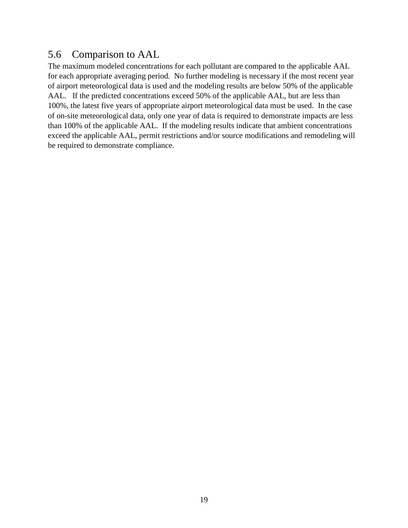#### <span id="page-21-0"></span>5.6 Comparison to AAL

The maximum modeled concentrations for each pollutant are compared to the applicable AAL for each appropriate averaging period. No further modeling is necessary if the most recent year of airport meteorological data is used and the modeling results are below 50% of the applicable AAL. If the predicted concentrations exceed 50% of the applicable AAL, but are less than 100%, the latest five years of appropriate airport meteorological data must be used. In the case of on-site meteorological data, only one year of data is required to demonstrate impacts are less than 100% of the applicable AAL. If the modeling results indicate that ambient concentrations exceed the applicable AAL, permit restrictions and/or source modifications and remodeling will be required to demonstrate compliance.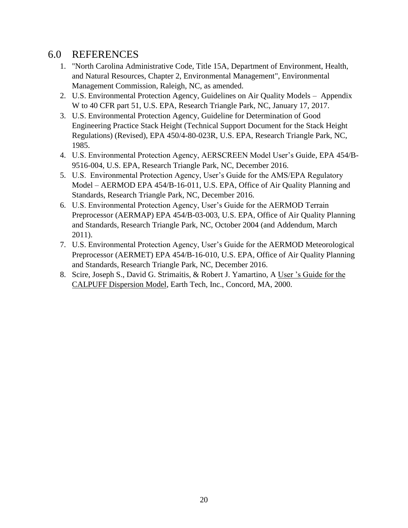#### <span id="page-22-0"></span>6.0 REFERENCES

- 1. "North Carolina Administrative Code, Title 15A, Department of Environment, Health, and Natural Resources, Chapter 2, Environmental Management", Environmental Management Commission, Raleigh, NC, as amended.
- 2. U.S. Environmental Protection Agency, Guidelines on Air Quality Models Appendix W to 40 CFR part 51, U.S. EPA, Research Triangle Park, NC, January 17, 2017.
- 3. U.S. Environmental Protection Agency, Guideline for Determination of Good Engineering Practice Stack Height (Technical Support Document for the Stack Height Regulations) (Revised), EPA 450/4-80-023R, U.S. EPA, Research Triangle Park, NC, 1985.
- 4. U.S. Environmental Protection Agency, AERSCREEN Model User's Guide, EPA 454/B-9516-004, U.S. EPA, Research Triangle Park, NC, December 2016.
- 5. U.S. Environmental Protection Agency, User's Guide for the AMS/EPA Regulatory Model – AERMOD EPA 454/B-16-011, U.S. EPA, Office of Air Quality Planning and Standards, Research Triangle Park, NC, December 2016.
- 6. U.S. Environmental Protection Agency, User's Guide for the AERMOD Terrain Preprocessor (AERMAP) EPA 454/B-03-003, U.S. EPA, Office of Air Quality Planning and Standards, Research Triangle Park, NC, October 2004 (and Addendum, March 2011).
- 7. U.S. Environmental Protection Agency, User's Guide for the AERMOD Meteorological Preprocessor (AERMET) EPA 454/B-16-010, U.S. EPA, Office of Air Quality Planning and Standards, Research Triangle Park, NC, December 2016.
- 8. Scire, Joseph S., David G. Strimaitis, & Robert J. Yamartino, A User 's Guide for the CALPUFF Dispersion Model, Earth Tech, Inc., Concord, MA, 2000.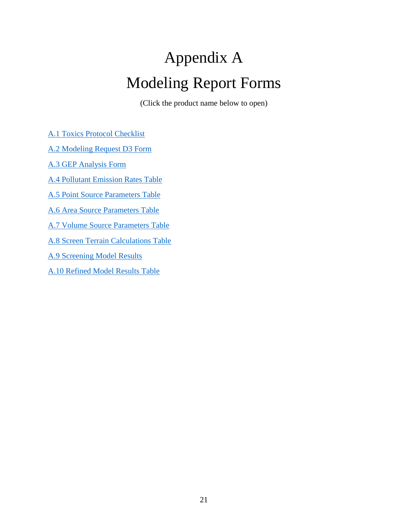# <span id="page-23-0"></span>Appendix A Modeling Report Forms

(Click the product name below to open)

<span id="page-23-1"></span>[A.1 Toxics Protocol Checklist](https://ncdenr.s3.amazonaws.com/s3fs-public/Air%20Quality/permits/files/2016_Permit_Application_Forms/D6.pdf)

[A.2 Modeling Request D3 Form](https://ncdenr.s3.amazonaws.com/s3fs-public/Air%20Quality/permits/files/2016_Permit_Application_Forms/D3.pdf)

[A.3 GEP Analysis Form](https://ncdenr.s3.amazonaws.com/s3fs-public/Air%20Quality/permits/mets/ModelingTables.xls)

[A.4 Pollutant Emission Rates Table](https://ncdenr.s3.amazonaws.com/s3fs-public/Air%20Quality/permits/mets/ModelingTables.xls)

[A.5 Point Source Parameters Table](https://ncdenr.s3.amazonaws.com/s3fs-public/Air%20Quality/permits/mets/ModelingTables.xls)

[A.6 Area Source Parameters Table](https://ncdenr.s3.amazonaws.com/s3fs-public/Air%20Quality/permits/mets/ModelingTables.xls)

[A.7 Volume Source Parameters Table](https://ncdenr.s3.amazonaws.com/s3fs-public/Air%20Quality/permits/mets/ModelingTables.xls)

[A.8 Screen Terrain Calculations Table](https://ncdenr.s3.amazonaws.com/s3fs-public/Air%20Quality/permits/mets/ModelingTables.xls)

[A.9 Screening Model Results](https://ncdenr.s3.amazonaws.com/s3fs-public/Air%20Quality/permits/mets/ModelingTables.xls)

[A.10 Refined Model](https://ncdenr.s3.amazonaws.com/s3fs-public/Air%20Quality/permits/mets/ModelingTables.xls) Results Table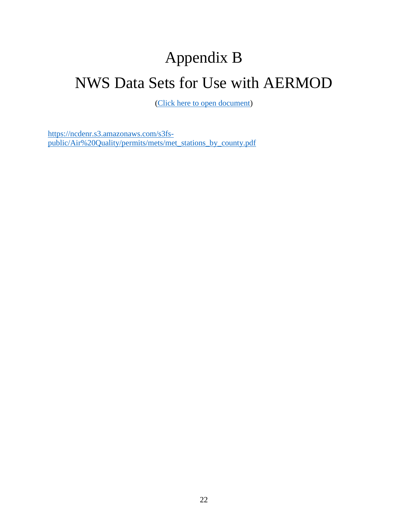# <span id="page-24-1"></span><span id="page-24-0"></span>Appendix B NWS Data Sets for Use with AERMOD

[\(Click here to open document\)](https://ncdenr.s3.amazonaws.com/s3fs-public/Air%20Quality/permits/mets/met_stations_by_county.pdf)

[https://ncdenr.s3.amazonaws.com/s3fs](https://ncdenr.s3.amazonaws.com/s3fs-public/Air%20Quality/permits/mets/met_stations_by_county.pdf)[public/Air%20Quality/permits/mets/met\\_stations\\_by\\_county.pdf](https://ncdenr.s3.amazonaws.com/s3fs-public/Air%20Quality/permits/mets/met_stations_by_county.pdf)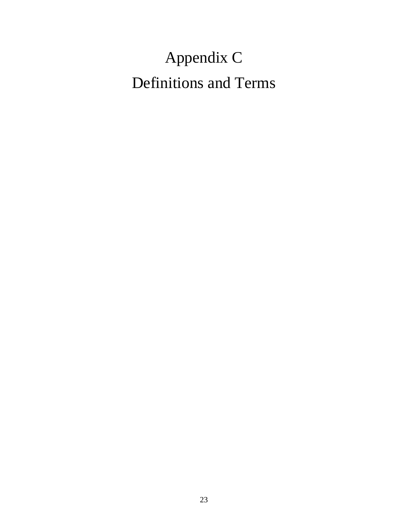# <span id="page-25-1"></span><span id="page-25-0"></span>Appendix C Definitions and Terms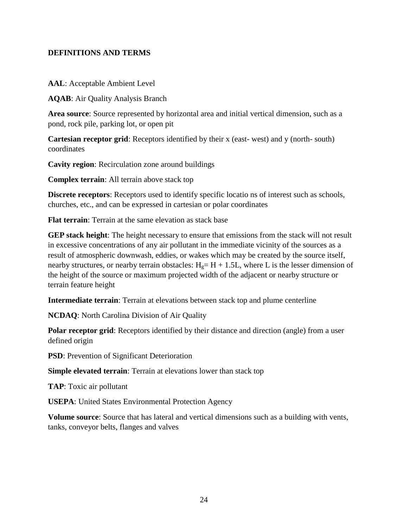#### **DEFINITIONS AND TERMS**

**AAL**: Acceptable Ambient Level

**AQAB**: Air Quality Analysis Branch

**Area source**: Source represented by horizontal area and initial vertical dimension, such as a pond, rock pile, parking lot, or open pit

**Cartesian receptor grid**: Receptors identified by their x (east- west) and y (north- south) coordinates

**Cavity region**: Recirculation zone around buildings

**Complex terrain**: All terrain above stack top

**Discrete receptors**: Receptors used to identify specific locatio ns of interest such as schools, churches, etc., and can be expressed in cartesian or polar coordinates

**Flat terrain**: Terrain at the same elevation as stack base

**GEP stack height**: The height necessary to ensure that emissions from the stack will not result in excessive concentrations of any air pollutant in the immediate vicinity of the sources as a result of atmospheric downwash, eddies, or wakes which may be created by the source itself, nearby structures, or nearby terrain obstacles:  $H<sub>g</sub>= H + 1.5L$ , where L is the lesser dimension of the height of the source or maximum projected width of the adjacent or nearby structure or terrain feature height

**Intermediate terrain**: Terrain at elevations between stack top and plume centerline

**NCDAQ**: North Carolina Division of Air Quality

**Polar receptor grid**: Receptors identified by their distance and direction (angle) from a user defined origin

**PSD**: Prevention of Significant Deterioration

**Simple elevated terrain**: Terrain at elevations lower than stack top

**TAP**: Toxic air pollutant

**USEPA**: United States Environmental Protection Agency

**Volume source**: Source that has lateral and vertical dimensions such as a building with vents, tanks, conveyor belts, flanges and valves